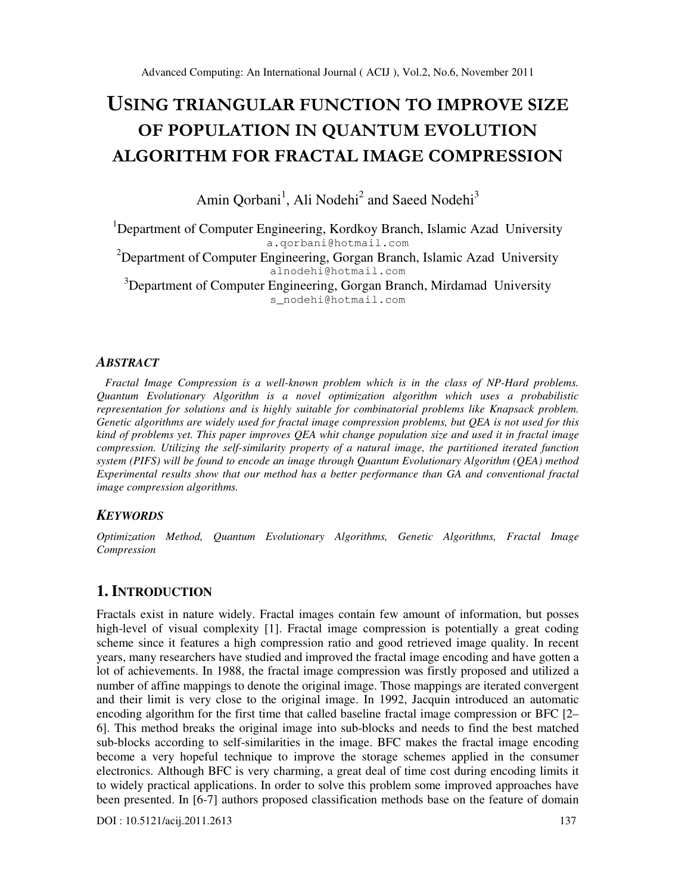# USING TRIANGULAR FUNCTION TO IMPROVE SIZE OF POPULATION IN QUANTUM EVOLUTION ALGORITHM FOR FRACTAL IMAGE COMPRESSION

Amin Qorbani<sup>1</sup>, Ali Nodehi<sup>2</sup> and Saeed Nodehi<sup>3</sup>

<sup>1</sup>Department of Computer Engineering, Kordkoy Branch, Islamic Azad University a.qorbani@hotmail.com

<sup>2</sup>Department of Computer Engineering, Gorgan Branch, Islamic Azad University alnodehi@hotmail.com

 $3D$ epartment of Computer Engineering, Gorgan Branch, Mirdamad University s\_nodehi@hotmail.com

# *ABSTRACT*

 *Fractal Image Compression is a well-known problem which is in the class of NP-Hard problems. Quantum Evolutionary Algorithm is a novel optimization algorithm which uses a probabilistic representation for solutions and is highly suitable for combinatorial problems like Knapsack problem. Genetic algorithms are widely used for fractal image compression problems, but QEA is not used for this kind of problems yet. This paper improves QEA whit change population size and used it in fractal image compression. Utilizing the self-similarity property of a natural image, the partitioned iterated function system (PIFS) will be found to encode an image through Quantum Evolutionary Algorithm (QEA) method Experimental results show that our method has a better performance than GA and conventional fractal image compression algorithms.* 

# *KEYWORDS*

*Optimization Method, Quantum Evolutionary Algorithms, Genetic Algorithms, Fractal Image Compression* 

# **1. INTRODUCTION**

Fractals exist in nature widely. Fractal images contain few amount of information, but posses high-level of visual complexity [1]. Fractal image compression is potentially a great coding scheme since it features a high compression ratio and good retrieved image quality. In recent years, many researchers have studied and improved the fractal image encoding and have gotten a lot of achievements. In 1988, the fractal image compression was firstly proposed and utilized a number of affine mappings to denote the original image. Those mappings are iterated convergent and their limit is very close to the original image. In 1992, Jacquin introduced an automatic encoding algorithm for the first time that called baseline fractal image compression or BFC [2– 6]. This method breaks the original image into sub-blocks and needs to find the best matched sub-blocks according to self-similarities in the image. BFC makes the fractal image encoding become a very hopeful technique to improve the storage schemes applied in the consumer electronics. Although BFC is very charming, a great deal of time cost during encoding limits it to widely practical applications. In order to solve this problem some improved approaches have been presented. In [6-7] authors proposed classification methods base on the feature of domain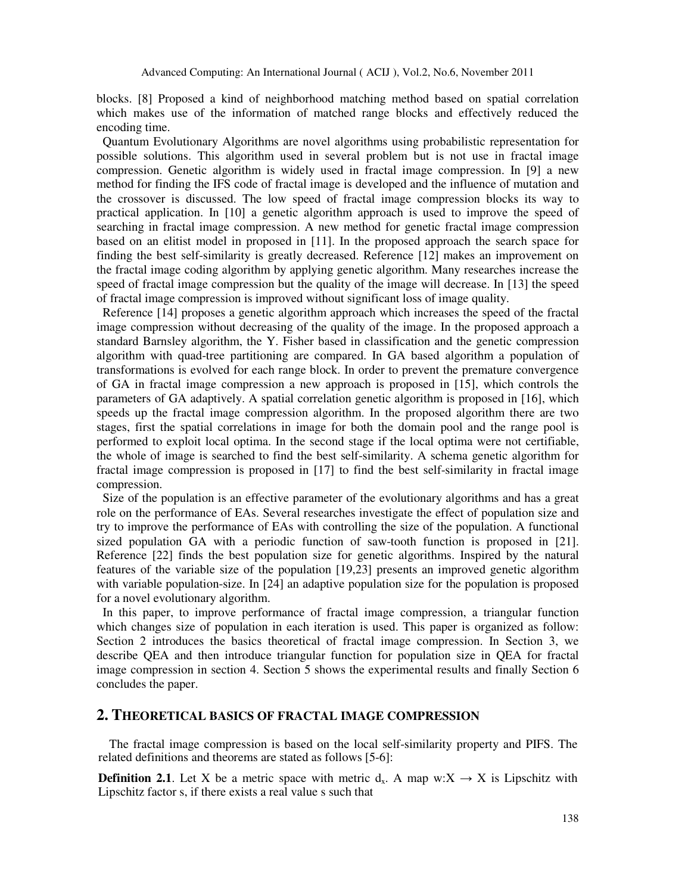blocks. [8] Proposed a kind of neighborhood matching method based on spatial correlation which makes use of the information of matched range blocks and effectively reduced the encoding time.

 Quantum Evolutionary Algorithms are novel algorithms using probabilistic representation for possible solutions. This algorithm used in several problem but is not use in fractal image compression. Genetic algorithm is widely used in fractal image compression. In [9] a new method for finding the IFS code of fractal image is developed and the influence of mutation and the crossover is discussed. The low speed of fractal image compression blocks its way to practical application. In [10] a genetic algorithm approach is used to improve the speed of searching in fractal image compression. A new method for genetic fractal image compression based on an elitist model in proposed in [11]. In the proposed approach the search space for finding the best self-similarity is greatly decreased. Reference [12] makes an improvement on the fractal image coding algorithm by applying genetic algorithm. Many researches increase the speed of fractal image compression but the quality of the image will decrease. In [13] the speed of fractal image compression is improved without significant loss of image quality.

 Reference [14] proposes a genetic algorithm approach which increases the speed of the fractal image compression without decreasing of the quality of the image. In the proposed approach a standard Barnsley algorithm, the Y. Fisher based in classification and the genetic compression algorithm with quad-tree partitioning are compared. In GA based algorithm a population of transformations is evolved for each range block. In order to prevent the premature convergence of GA in fractal image compression a new approach is proposed in [15], which controls the parameters of GA adaptively. A spatial correlation genetic algorithm is proposed in [16], which speeds up the fractal image compression algorithm. In the proposed algorithm there are two stages, first the spatial correlations in image for both the domain pool and the range pool is performed to exploit local optima. In the second stage if the local optima were not certifiable, the whole of image is searched to find the best self-similarity. A schema genetic algorithm for fractal image compression is proposed in [17] to find the best self-similarity in fractal image compression.

 Size of the population is an effective parameter of the evolutionary algorithms and has a great role on the performance of EAs. Several researches investigate the effect of population size and try to improve the performance of EAs with controlling the size of the population. A functional sized population GA with a periodic function of saw-tooth function is proposed in [21]. Reference [22] finds the best population size for genetic algorithms. Inspired by the natural features of the variable size of the population [19,23] presents an improved genetic algorithm with variable population-size. In [24] an adaptive population size for the population is proposed for a novel evolutionary algorithm.

 In this paper, to improve performance of fractal image compression, a triangular function which changes size of population in each iteration is used. This paper is organized as follow: Section 2 introduces the basics theoretical of fractal image compression. In Section 3, we describe QEA and then introduce triangular function for population size in QEA for fractal image compression in section 4. Section 5 shows the experimental results and finally Section 6 concludes the paper.

# **2. THEORETICAL BASICS OF FRACTAL IMAGE COMPRESSION**

The fractal image compression is based on the local self-similarity property and PIFS. The related definitions and theorems are stated as follows [5-6]:

**Definition 2.1**. Let X be a metric space with metric  $d_x$ . A map w:X  $\rightarrow$  X is Lipschitz with Lipschitz factor s, if there exists a real value s such that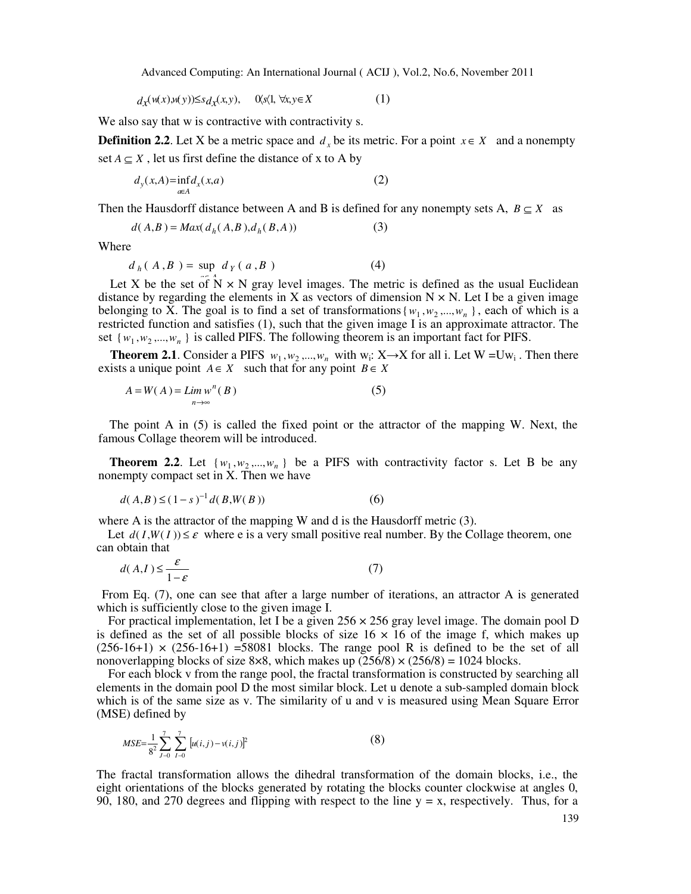$$
d_{\mathcal{X}}(\mathfrak{u}(x), \mathfrak{u}(y)) \leq s d_{\mathcal{X}}(x, y), \quad \mathfrak{A}(\mathfrak{X}) \forall x, y \in X \tag{1}
$$

We also say that w is contractive with contractivity s.

**Definition 2.2**. Let X be a metric space and  $d_x$  be its metric. For a point  $x \in X$  and a nonempty set  $A \subseteq X$ , let us first define the distance of x to A by

$$
d_{y}(x,A) = \inf_{a \in A} d_{x}(x,a)
$$
 (2)

Then the Hausdorff distance between A and B is defined for any nonempty sets A,  $B \subset X$  as

$$
d(A,B) = Max(d_h(A,B), d_h(B,A))
$$
\n(3)

Where

$$
d_h(A, B) = \sup d_Y(a, B)
$$
 (4)

Let X be the set of  $\Lambda \times N$  gray level images. The metric is defined as the usual Euclidean distance by regarding the elements in X as vectors of dimension  $N \times N$ . Let I be a given image belonging to X. The goal is to find a set of transformations  $\{w_1, w_2, ..., w_n\}$ , each of which is a restricted function and satisfies (1), such that the given image I is an approximate attractor. The set  $\{w_1, w_2, ..., w_n\}$  is called PIFS. The following theorem is an important fact for PIFS.

**Theorem 2.1**. Consider a PIFS  $w_1, w_2, ..., w_n$  with  $w_i: X \rightarrow X$  for all i. Let W =Uw<sub>i</sub>. Then there exists a unique point  $A \in X$  such that for any point  $B \in X$ 

$$
A = W(A) = \lim_{n \to \infty} w^n(B)
$$
 (5)

The point A in (5) is called the fixed point or the attractor of the mapping W. Next, the famous Collage theorem will be introduced.

**Theorem 2.2.** Let  $\{w_1, w_2, ..., w_n\}$  be a PIFS with contractivity factor s. Let B be any nonempty compact set in X. Then we have

$$
d(A,B) \le (1-s)^{-1} d(B,W(B))
$$
 (6)

where A is the attractor of the mapping W and d is the Hausdorff metric (3).

Let  $d(I, W(I)) \leq \varepsilon$  where e is a very small positive real number. By the Collage theorem, one can obtain that

$$
d(A,I) \le \frac{\varepsilon}{1-\varepsilon} \tag{7}
$$

From Eq. (7), one can see that after a large number of iterations, an attractor A is generated which is sufficiently close to the given image I.

For practical implementation, let I be a given  $256 \times 256$  gray level image. The domain pool D is defined as the set of all possible blocks of size  $16 \times 16$  of the image f, which makes up  $(256-16+1) \times (256-16+1) = 58081$  blocks. The range pool R is defined to be the set of all nonoverlapping blocks of size 8×8, which makes up  $(256/8) \times (256/8) = 1024$  blocks.

For each block v from the range pool, the fractal transformation is constructed by searching all elements in the domain pool D the most similar block. Let u denote a sub-sampled domain block which is of the same size as v. The similarity of u and v is measured using Mean Square Error (MSE) defined by

$$
MSE = \frac{1}{8^2} \sum_{j=0}^{7} \sum_{l=0}^{7} \left[ u(i,j) - v(i,j) \right]^2
$$
 (8)

The fractal transformation allows the dihedral transformation of the domain blocks, i.e., the eight orientations of the blocks generated by rotating the blocks counter clockwise at angles 0, 90, 180, and 270 degrees and flipping with respect to the line  $y = x$ , respectively. Thus, for a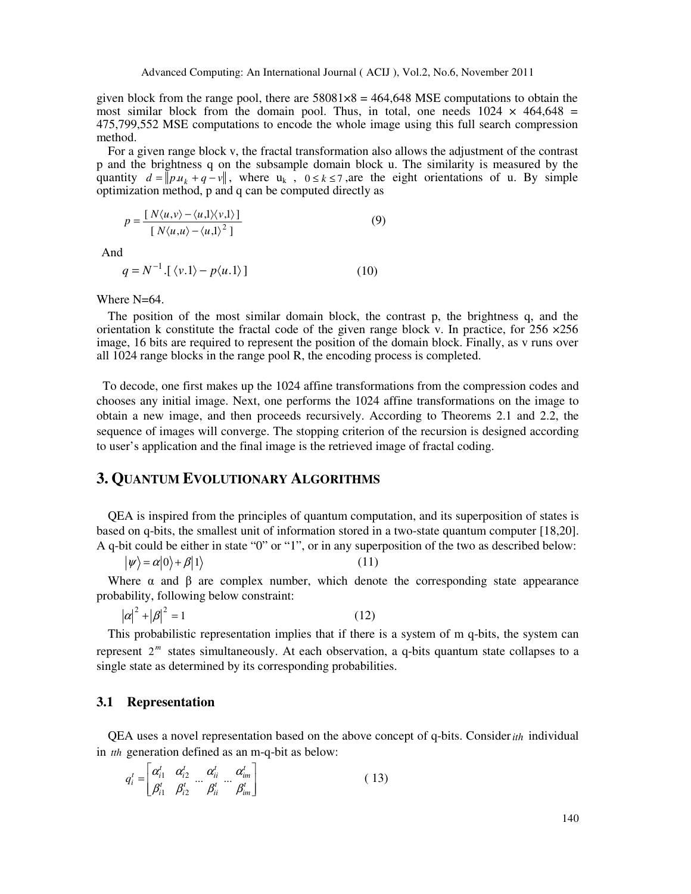given block from the range pool, there are  $58081\times8 = 464,648$  MSE computations to obtain the most similar block from the domain pool. Thus, in total, one needs  $1024 \times 464,648 =$ 475,799,552 MSE computations to encode the whole image using this full search compression method.

For a given range block v, the fractal transformation also allows the adjustment of the contrast p and the brightness q on the subsample domain block u. The similarity is measured by the quantity  $d = ||pu_k + q - v||$ , where  $u_k$ ,  $0 \le k \le 7$ , are the eight orientations of u. By simple optimization method, p and q can be computed directly as

$$
p = \frac{[N\langle u, v \rangle - \langle u, 1 \rangle \langle v, 1 \rangle]}{[N\langle u, u \rangle - \langle u, 1 \rangle^2]}
$$
(9)

And

$$
q = N^{-1} \left\{ \langle v, 1 \rangle - p \langle u, 1 \rangle \right\} \tag{10}
$$

Where N=64.

The position of the most similar domain block, the contrast p, the brightness q, and the orientation k constitute the fractal code of the given range block v. In practice, for  $256 \times 256$ image, 16 bits are required to represent the position of the domain block. Finally, as v runs over all 1024 range blocks in the range pool R, the encoding process is completed.

 To decode, one first makes up the 1024 affine transformations from the compression codes and chooses any initial image. Next, one performs the 1024 affine transformations on the image to obtain a new image, and then proceeds recursively. According to Theorems 2.1 and 2.2, the sequence of images will converge. The stopping criterion of the recursion is designed according to user's application and the final image is the retrieved image of fractal coding.

# **3. QUANTUM EVOLUTIONARY ALGORITHMS**

QEA is inspired from the principles of quantum computation, and its superposition of states is based on q-bits, the smallest unit of information stored in a two-state quantum computer [18,20]. A q-bit could be either in state "0" or "1", or in any superposition of the two as described below:

 $|\psi\rangle = \alpha|0\rangle + \beta|1\rangle$  (11)

Where  $\alpha$  and  $\beta$  are complex number, which denote the corresponding state appearance probability, following below constraint:

$$
|\alpha|^2 + |\beta|^2 = 1\tag{12}
$$

This probabilistic representation implies that if there is a system of m q-bits, the system can represent  $2<sup>m</sup>$  states simultaneously. At each observation, a q-bits quantum state collapses to a single state as determined by its corresponding probabilities.

#### **3.1 Representation**

QEA uses a novel representation based on the above concept of q-bits. Consider*ith* individual in *tth* generation defined as an m-q-bit as below:

$$
q_i^t = \begin{bmatrix} \alpha_{i1}^t & \alpha_{i2}^t & \alpha_{ii}^t & \alpha_{in}^t \\ \beta_{i1}^t & \beta_{i2}^t & \beta_{ii}^t & \beta_{im}^t \end{bmatrix}
$$
 (13)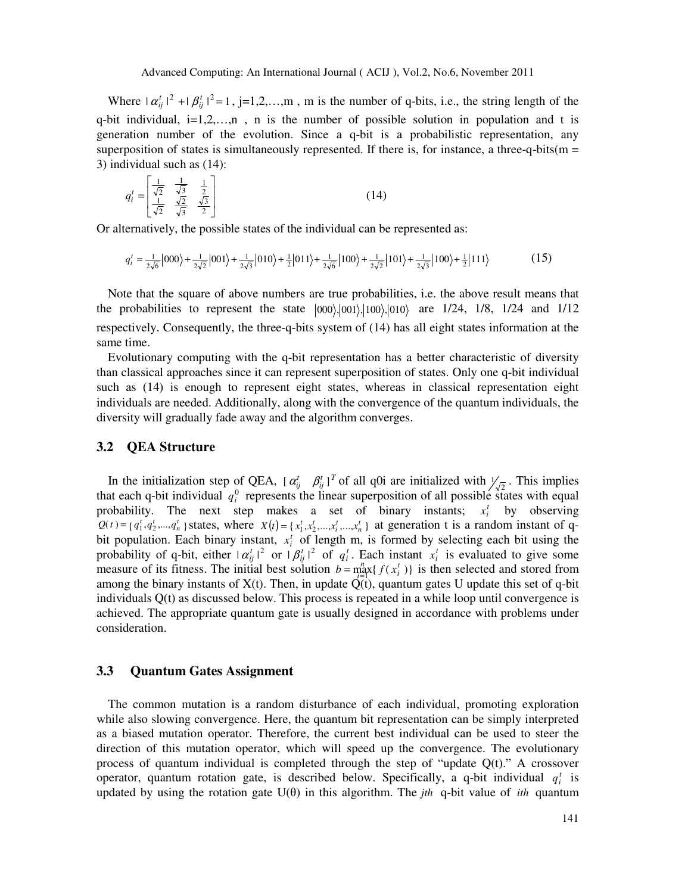Where  $| \alpha_{ij}^t |^2 + | \beta_{ij}^t |^2 = 1$ , j=1,2,...,m, m is the number of q-bits, i.e., the string length of the q-bit individual,  $i=1,2,...,n$ , n is the number of possible solution in population and t is generation number of the evolution. Since a q-bit is a probabilistic representation, any superposition of states is simultaneously represented. If there is, for instance, a three-q-bits( $m =$ 3) individual such as (14):

$$
q_i' = \begin{bmatrix} \frac{1}{\sqrt{2}} & \frac{1}{\sqrt{3}} & \frac{1}{2} \\ \frac{1}{\sqrt{2}} & \frac{\sqrt{2}}{\sqrt{3}} & \frac{\sqrt{3}}{2} \end{bmatrix}
$$
 (14)

Or alternatively, the possible states of the individual can be represented as:

$$
q_i' = \frac{1}{2\sqrt{6}} |000\rangle + \frac{1}{2\sqrt{2}} |001\rangle + \frac{1}{2\sqrt{3}} |010\rangle + \frac{1}{2} |011\rangle + \frac{1}{2\sqrt{6}} |100\rangle + \frac{1}{2\sqrt{2}} |101\rangle + \frac{1}{2\sqrt{3}} |100\rangle + \frac{1}{2} |111\rangle
$$
 (15)

Note that the square of above numbers are true probabilities, i.e. the above result means that the probabilities to represent the state  $|000\rangle, |001\rangle, |100\rangle, |010\rangle$  are 1/24, 1/8, 1/24 and 1/12 respectively. Consequently, the three-q-bits system of (14) has all eight states information at the same time.

Evolutionary computing with the q-bit representation has a better characteristic of diversity than classical approaches since it can represent superposition of states. Only one q-bit individual such as (14) is enough to represent eight states, whereas in classical representation eight individuals are needed. Additionally, along with the convergence of the quantum individuals, the diversity will gradually fade away and the algorithm converges.

#### **3.2 QEA Structure**

In the initialization step of QEA,  $[\alpha_{ij}^t \quad \beta_{ij}^t]^T$  of all q0i are initialized with  $\frac{1}{\sqrt{2}}$ . This implies that each q-bit individual  $q_i^0$  represents the linear superposition of all possible states with equal probability. The next step makes a set of binary instants;  $x_i^t$  by observing  $Q(t) = \{q_1^t, q_2^t, ..., q_n^t\}$  states, where  $X(t) = \{x_1^t, x_2^t, ..., x_i^t, ..., x_n^t\}$  at generation t is a random instant of qbit population. Each binary instant,  $x_i^t$  of length m, is formed by selecting each bit using the probability of q-bit, either  $|\alpha_{ij}^t|^2$  or  $|\beta_{ij}^t|^2$  of  $q_i^t$ . Each instant  $x_i^t$  is evaluated to give some measure of its fitness. The initial best solution  $b = \max_{i=1}^{n} \{f(x_i^t)\}$ among the binary instants of  $X(t)$ . Then, in update  $Q(t)$ , quantum gates U update this set of q-bit  $b = \max_{i} \{ f(x_i^t) \}$  is then selected and stored from individuals Q(t) as discussed below. This process is repeated in a while loop until convergence is achieved. The appropriate quantum gate is usually designed in accordance with problems under consideration.

## **3.3 Quantum Gates Assignment**

The common mutation is a random disturbance of each individual, promoting exploration while also slowing convergence. Here, the quantum bit representation can be simply interpreted as a biased mutation operator. Therefore, the current best individual can be used to steer the direction of this mutation operator, which will speed up the convergence. The evolutionary process of quantum individual is completed through the step of "update  $Q(t)$ ." A crossover operator, quantum rotation gate, is described below. Specifically, a q-bit individual  $q_i^t$  is updated by using the rotation gate U(θ) in this algorithm. The *jth* q-bit value of *ith* quantum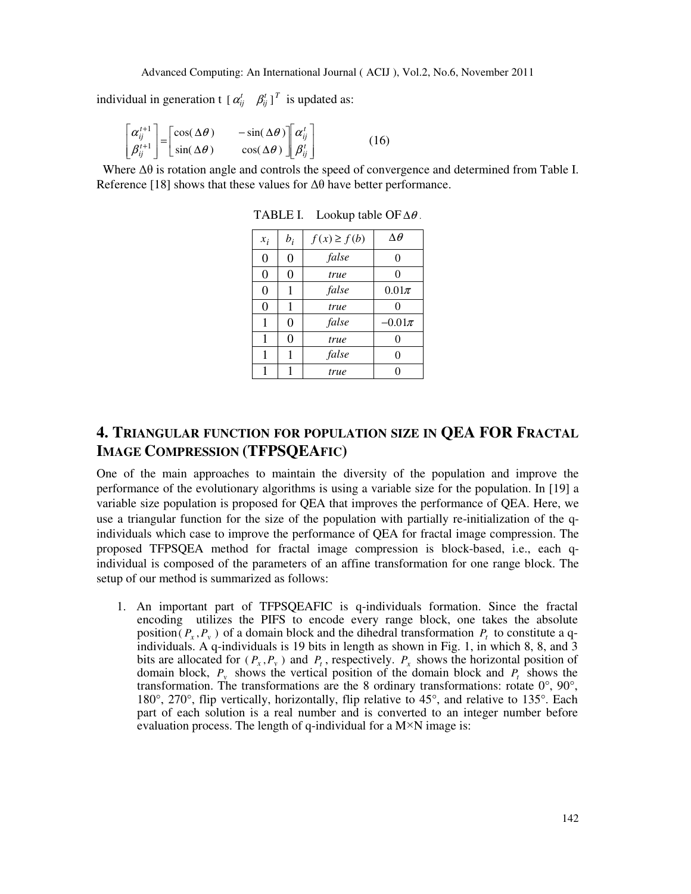individual in generation  $t \left[\alpha_{ij}^t \quad \beta_{ij}^t\right]^T$  is updated as:

$$
\begin{bmatrix} \alpha_{ij}^{t+1} \\ \beta_{ij}^{t+1} \end{bmatrix} = \begin{bmatrix} \cos(\Delta\theta) & -\sin(\Delta\theta) \\ \sin(\Delta\theta) & \cos(\Delta\theta) \end{bmatrix} \begin{bmatrix} \alpha_{ij}^t \\ \beta_{ij}^t \end{bmatrix}
$$
 (16)

 Where ∆θ is rotation angle and controls the speed of convergence and determined from Table I. Reference [18] shows that these values for  $\Delta\theta$  have better performance.

| $x_i$          | $b_i$          | $f(x) \ge f(b)$ | $\Delta\theta$ |
|----------------|----------------|-----------------|----------------|
| $\overline{0}$ | $\overline{0}$ | false           | 0              |
| $\theta$       | 0              | true            | 0              |
| 0              |                | false           | $0.01\pi$      |
| 0              | 1              | true            | 0              |
| 1              | 0              | false           | $-0.01\pi$     |
| 1              | 0              | true            | 0              |
| 1              |                | false           | 0              |
|                |                | true            | O              |

TABLE I. Lookup table OF  $\Delta\theta$ .

# **4. TRIANGULAR FUNCTION FOR POPULATION SIZE IN QEA FOR FRACTAL IMAGE COMPRESSION (TFPSQEAFIC)**

One of the main approaches to maintain the diversity of the population and improve the performance of the evolutionary algorithms is using a variable size for the population. In [19] a variable size population is proposed for QEA that improves the performance of QEA. Here, we use a triangular function for the size of the population with partially re-initialization of the qindividuals which case to improve the performance of QEA for fractal image compression. The proposed TFPSQEA method for fractal image compression is block-based, i.e., each qindividual is composed of the parameters of an affine transformation for one range block. The setup of our method is summarized as follows:

1. An important part of TFPSQEAFIC is q-individuals formation. Since the fractal encoding utilizes the PIFS to encode every range block, one takes the absolute position( $P_x$ , $P_y$ ) of a domain block and the dihedral transformation  $P_t$  to constitute a qindividuals. A q-individuals is 19 bits in length as shown in Fig. 1, in which 8, 8, and 3 bits are allocated for  $(P_x, P_y)$  and  $P_t$ , respectively.  $P_x$  shows the horizontal position of domain block,  $P_y$  shows the vertical position of the domain block and  $P_t$  shows the transformation. The transformations are the 8 ordinary transformations: rotate  $0^{\circ}$ ,  $90^{\circ}$ , 180°, 270°, flip vertically, horizontally, flip relative to 45°, and relative to 135°. Each part of each solution is a real number and is converted to an integer number before evaluation process. The length of q-individual for a  $M \times N$  image is: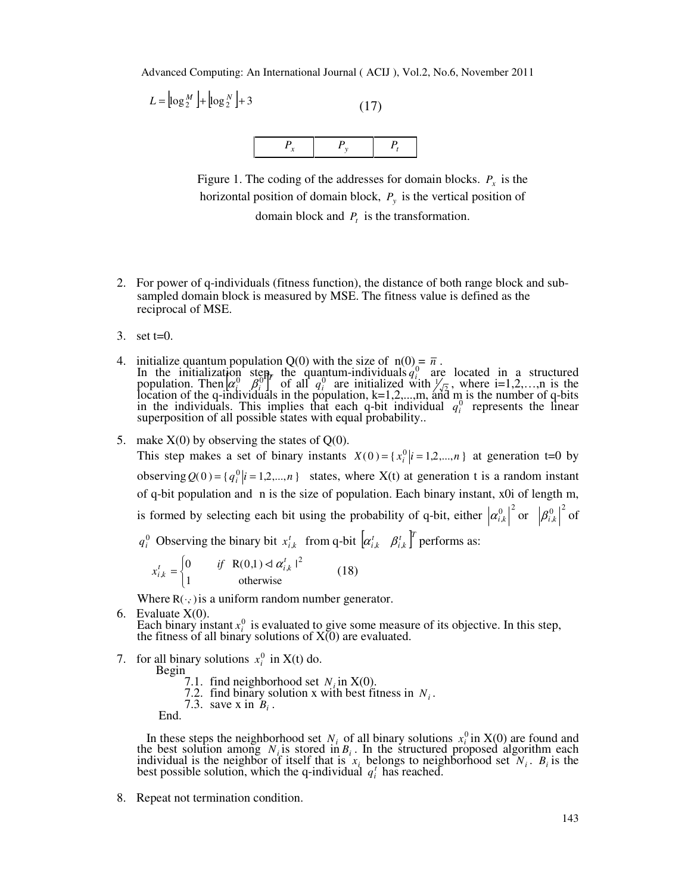$$
L = \left[ \log_2^M \right] + \left[ \log_2^N \right] + 3 \tag{17}
$$



Figure 1. The coding of the addresses for domain blocks.  $P_x$  is the horizontal position of domain block, *P<sup>y</sup>* is the vertical position of

domain block and *P<sup>t</sup>* is the transformation.

- 2. For power of q-individuals (fitness function), the distance of both range block and subsampled domain block is measured by MSE. The fitness value is defined as the reciprocal of MSE.
- 3. set  $t=0$ .
- 4. initialize quantum population Q(0) with the size of  $n(0) = \bar{n}$ . In the initialization step, the quantum-individuals  $q_i^0$  are located in a structured population. Then  $\alpha_i^0$   $\beta_i^0$ <sup>r</sup>  $\alpha_i^0$ ,  $\beta_i^0$ <sup>r</sup>, of all  $q_i^0$  are initialized with  $\frac{1}{\sqrt{2}}$ , where i=1,2,...,n is the location of the q-individuals in the population,  $k=1,2,...,m$ , and m is the number of q-bits in the individuals. This implies that each q-bit individual  $q_i^0$  represents the linear superposition of all possible states with equal probability..
- 5. make  $X(0)$  by observing the states of  $Q(0)$ .

This step makes a set of binary instants  $X(0) = \{x_i^0 | i = 1, 2, ..., n\}$  at generation t=0 by observing  $Q(0) = \{q_i^0 | i = 1, 2, ..., n\}$  states, where  $X(t)$  at generation t is a random instant of q-bit population and n is the size of population. Each binary instant, x0i of length m, is formed by selecting each bit using the probability of q-bit, either  $|\alpha_{i,k}^0|^2$  or  $|\beta_{i,k}^0|^2$  of

*q*<sup>0</sup> Observing the binary bit  $x_{i,k}^t$  from q-bit  $\left[ \alpha_{i,k}^t \quad \beta_{i,k}^t \right]^T$  performs as:

$$
x_{i,k}^t = \begin{cases} 0 & \text{if } R(0,1) \le \alpha_{i,k}^t \mid^2 \\ 1 & \text{otherwise} \end{cases}
$$
 (18)

Where  $R(\cdot, \cdot)$  is a uniform random number generator.

- 6. Evaluate  $X(0)$ . Each binary instant  $x_i^0$  is evaluated to give some measure of its objective. In this step, the fitness of all binary solutions of  $X(0)$  are evaluated.
- 7. for all binary solutions  $x_i^0$  in X(t) do.
	- Begin
		- 7.1. find neighborhood set  $N_i$  in  $X(0)$ .
		- 7.2. find binary solution x with best fitness in  $N_i$ .
		- 7.3. save x in  $B_i$ .

End.

In these steps the neighborhood set  $N_i$  of all binary solutions  $x_i^0$  in X(0) are found and the best solution among  $N_i$  is stored in  $B_i$ . In the structured proposed algorithm each individual is the neighbor of itself that is  $x_i$  belongs to neighborhood set  $N_i$ .  $B_i$  is the best possible solution, which the q-individual  $q_i^t$  has reached.

8. Repeat not termination condition.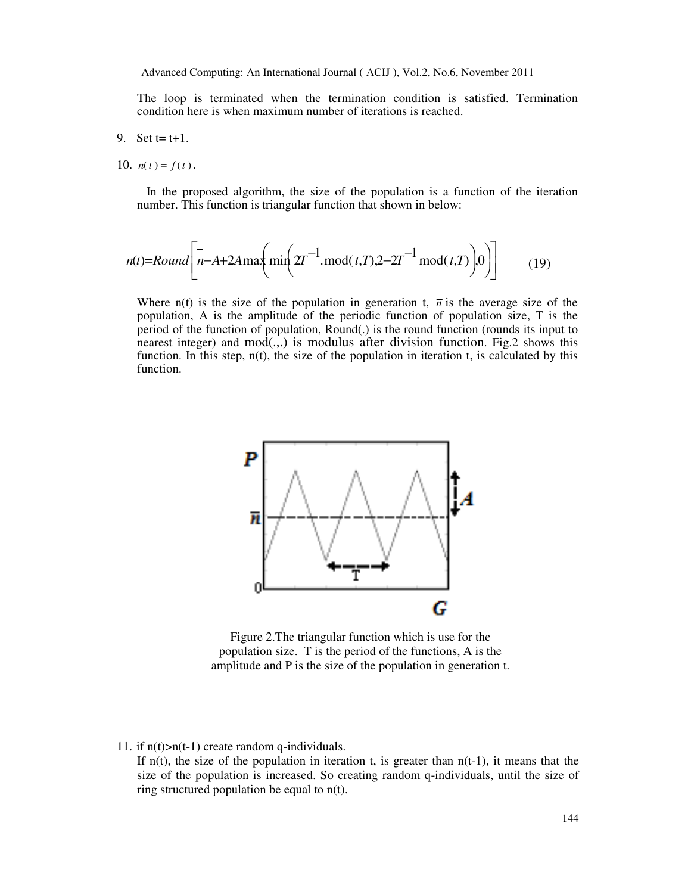The loop is terminated when the termination condition is satisfied. Termination condition here is when maximum number of iterations is reached.

- 9. Set  $t = t+1$ .
- 10.  $n(t) = f(t)$ .

 In the proposed algorithm, the size of the population is a function of the iteration number. This function is triangular function that shown in below:

$$
n(t) = Round\left[n - A + 2A \max\left(\min\left(2T^{-1} \cdot \text{mod}(t, T), 2 - 2T^{-1} \cdot \text{mod}(t, T)\right)0\right)\right]
$$
(19)

Where  $n(t)$  is the size of the population in generation t,  $\bar{n}$  is the average size of the population, A is the amplitude of the periodic function of population size, T is the period of the function of population, Round(.) is the round function (rounds its input to nearest integer) and mod(.,.) is modulus after division function. Fig.2 shows this function. In this step,  $n(t)$ , the size of the population in iteration t, is calculated by this function.



Figure 2.The triangular function which is use for the population size. T is the period of the functions, A is the amplitude and P is the size of the population in generation t.

11. if  $n(t) > n(t-1)$  create random q-individuals.

If  $n(t)$ , the size of the population in iteration t, is greater than  $n(t-1)$ , it means that the size of the population is increased. So creating random q-individuals, until the size of ring structured population be equal to n(t).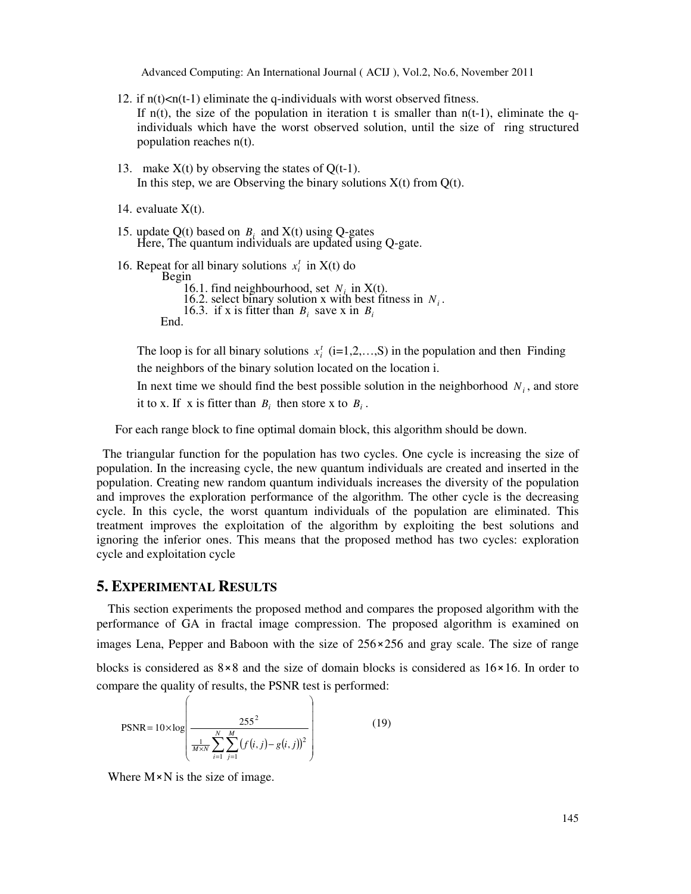- 12. if  $n(t) < n(t-1)$  eliminate the q-individuals with worst observed fitness. If  $n(t)$ , the size of the population in iteration t is smaller than  $n(t-1)$ , eliminate the qindividuals which have the worst observed solution, until the size of ring structured population reaches n(t).
- 13. make  $X(t)$  by observing the states of  $Q(t-1)$ . In this step, we are Observing the binary solutions  $X(t)$  from  $Q(t)$ .
- 14. evaluate  $X(t)$ .
- 15. update  $Q(t)$  based on  $B_i$  and  $X(t)$  using  $Q$ -gates Here, The quantum individuals are updated using Q-gate.
- 16. Repeat for all binary solutions  $x_i^t$  in  $X(t)$  do Begin 16.1. find neighbourhood, set  $N_i$  in X(t). 16.2. select binary solution x with best fitness in  $N_i$ . 16.3. if x is fitter than  $B_i$  save x in  $B_i$ End.

The loop is for all binary solutions  $x_i^t$  (i=1,2,...,S) in the population and then Finding the neighbors of the binary solution located on the location i.

In next time we should find the best possible solution in the neighborhood  $N_i$ , and store it to x. If x is fitter than  $B_i$  then store x to  $B_i$ .

For each range block to fine optimal domain block, this algorithm should be down.

 The triangular function for the population has two cycles. One cycle is increasing the size of population. In the increasing cycle, the new quantum individuals are created and inserted in the population. Creating new random quantum individuals increases the diversity of the population and improves the exploration performance of the algorithm. The other cycle is the decreasing cycle. In this cycle, the worst quantum individuals of the population are eliminated. This treatment improves the exploitation of the algorithm by exploiting the best solutions and ignoring the inferior ones. This means that the proposed method has two cycles: exploration cycle and exploitation cycle

# **5. EXPERIMENTAL RESULTS**

This section experiments the proposed method and compares the proposed algorithm with the performance of GA in fractal image compression. The proposed algorithm is examined on images Lena, Pepper and Baboon with the size of  $256 \times 256$  and gray scale. The size of range blocks is considered as  $8 \times 8$  and the size of domain blocks is considered as  $16 \times 16$ . In order to compare the quality of results, the PSNR test is performed:

$$
PSNR = 10 \times \log \left( \frac{255^2}{\frac{1}{M \times N} \sum_{i=1}^{N} \sum_{j=1}^{M} (f(i, j) - g(i, j))^2} \right)
$$
(19)

Where  $M \times N$  is the size of image.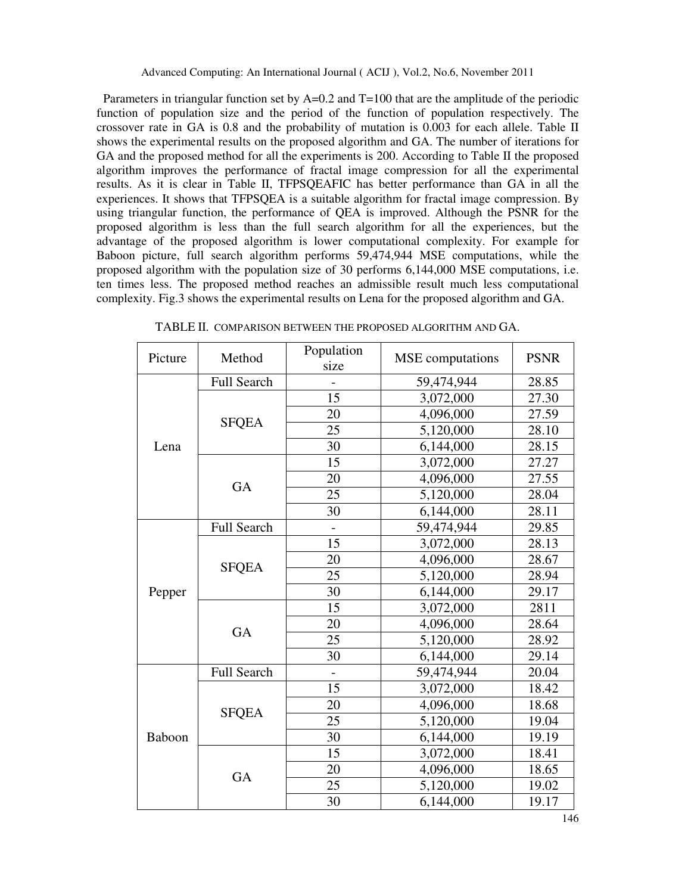Parameters in triangular function set by A=0.2 and T=100 that are the amplitude of the periodic function of population size and the period of the function of population respectively. The crossover rate in GA is 0.8 and the probability of mutation is 0.003 for each allele. Table II shows the experimental results on the proposed algorithm and GA. The number of iterations for GA and the proposed method for all the experiments is 200. According to Table II the proposed algorithm improves the performance of fractal image compression for all the experimental results. As it is clear in Table II, TFPSQEAFIC has better performance than GA in all the experiences. It shows that TFPSQEA is a suitable algorithm for fractal image compression. By using triangular function, the performance of QEA is improved. Although the PSNR for the proposed algorithm is less than the full search algorithm for all the experiences, but the advantage of the proposed algorithm is lower computational complexity. For example for Baboon picture, full search algorithm performs 59,474,944 MSE computations, while the proposed algorithm with the population size of 30 performs 6,144,000 MSE computations, i.e. ten times less. The proposed method reaches an admissible result much less computational complexity. Fig.3 shows the experimental results on Lena for the proposed algorithm and GA.

| Picture | Method             | Population     | <b>MSE</b> computations |             |
|---------|--------------------|----------------|-------------------------|-------------|
|         |                    | size           |                         | <b>PSNR</b> |
| Lena    | Full Search        |                | 59,474,944              | 28.85       |
|         |                    | 15             | 3,072,000               | 27.30       |
|         | <b>SFQEA</b>       | 20             | 4,096,000               | 27.59       |
|         |                    | 25             | 5,120,000               | 28.10       |
|         |                    | 30             | 6,144,000               | 28.15       |
|         |                    | 15             | 3,072,000               | 27.27       |
|         | GA                 | 20             | 4,096,000               | 27.55       |
|         |                    | 25             | 5,120,000               | 28.04       |
|         |                    | 30             | 6,144,000               | 28.11       |
| Pepper  | <b>Full Search</b> |                | 59,474,944              | 29.85       |
|         |                    | 15             | 3,072,000               | 28.13       |
|         | <b>SFQEA</b>       | 20             | 4,096,000               | 28.67       |
|         |                    | 25             | 5,120,000               | 28.94       |
|         |                    | 30             | 6,144,000               | 29.17       |
|         |                    | 15             | 3,072,000               | 2811        |
|         | <b>GA</b>          | 20             | 4,096,000               | 28.64       |
|         |                    | 25             | 5,120,000               | 28.92       |
|         |                    | 30             | 6,144,000               | 29.14       |
| Baboon  | <b>Full Search</b> | $\overline{a}$ | 59,474,944              | 20.04       |
|         |                    | 15             | 3,072,000               | 18.42       |
|         |                    | 20             | 4,096,000               | 18.68       |
|         | <b>SFQEA</b>       | 25             | 5,120,000               | 19.04       |
|         |                    | 30             | 6,144,000               | 19.19       |
|         |                    | 15             | 3,072,000               | 18.41       |
|         | <b>GA</b>          | 20             | 4,096,000               | 18.65       |
|         |                    | 25             | 5,120,000               | 19.02       |
|         |                    | 30             | 6,144,000               | 19.17       |

TABLE II. COMPARISON BETWEEN THE PROPOSED ALGORITHM AND GA.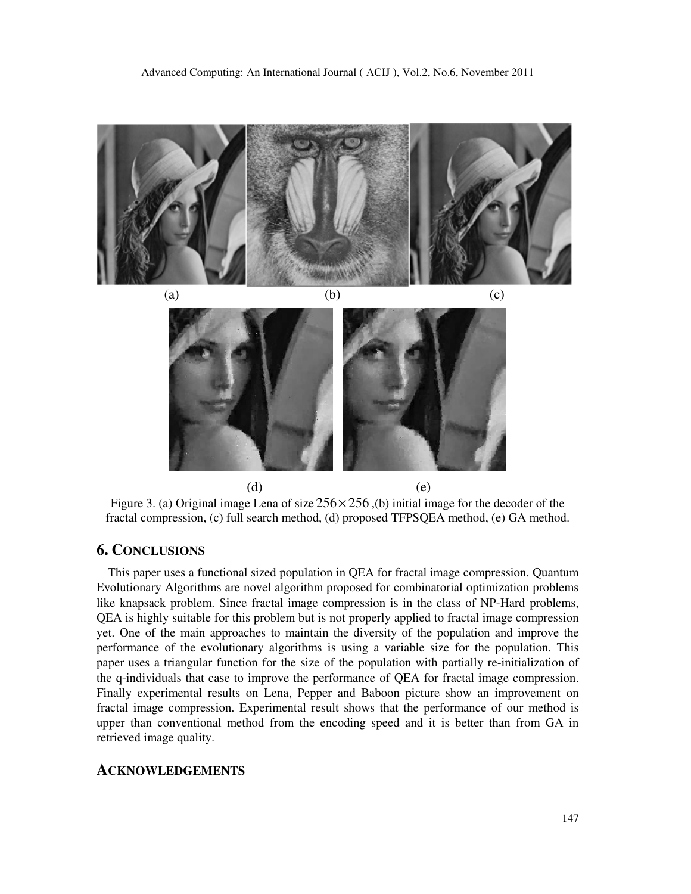



 $(d)$  (e) Figure 3. (a) Original image Lena of size  $256 \times 256$ , (b) initial image for the decoder of the fractal compression, (c) full search method, (d) proposed TFPSQEA method, (e) GA method.

# **6. CONCLUSIONS**

This paper uses a functional sized population in QEA for fractal image compression. Quantum Evolutionary Algorithms are novel algorithm proposed for combinatorial optimization problems like knapsack problem. Since fractal image compression is in the class of NP-Hard problems, QEA is highly suitable for this problem but is not properly applied to fractal image compression yet. One of the main approaches to maintain the diversity of the population and improve the performance of the evolutionary algorithms is using a variable size for the population. This paper uses a triangular function for the size of the population with partially re-initialization of the q-individuals that case to improve the performance of QEA for fractal image compression. Finally experimental results on Lena, Pepper and Baboon picture show an improvement on fractal image compression. Experimental result shows that the performance of our method is upper than conventional method from the encoding speed and it is better than from GA in retrieved image quality.

#### **ACKNOWLEDGEMENTS**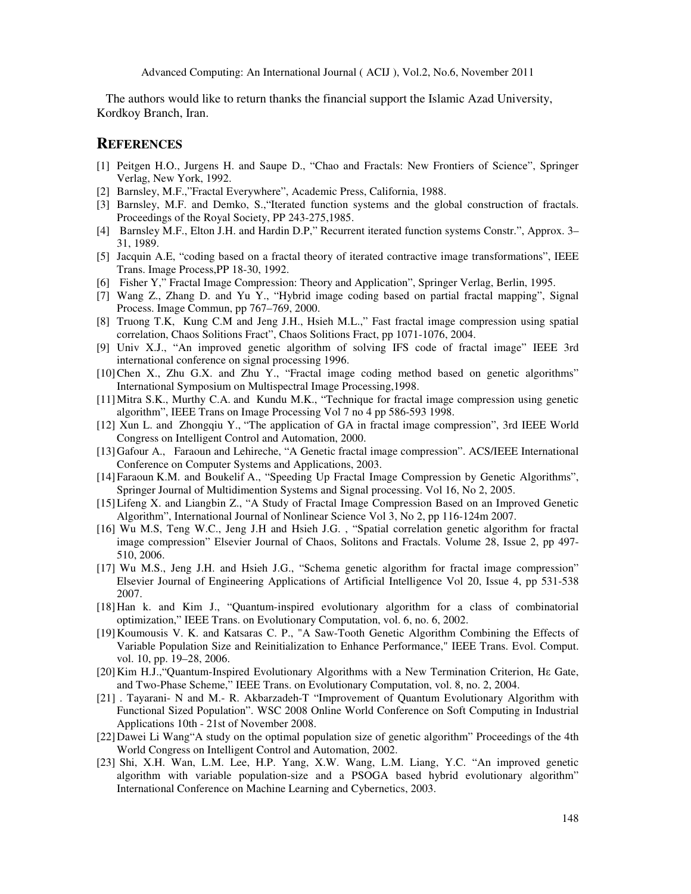The authors would like to return thanks the financial support the Islamic Azad University, Kordkoy Branch, Iran.

# **REFERENCES**

- [1] Peitgen H.O., Jurgens H. and Saupe D., "Chao and Fractals: New Frontiers of Science", Springer Verlag, New York, 1992.
- [2] Barnsley, M.F.,"Fractal Everywhere", Academic Press, California, 1988.
- [3] Barnsley, M.F. and Demko, S., 'Iterated function systems and the global construction of fractals. Proceedings of the Royal Society, PP 243-275,1985.
- [4] Barnsley M.F., Elton J.H. and Hardin D.P," Recurrent iterated function systems Constr.", Approx. 3– 31, 1989.
- [5] Jacquin A.E, "coding based on a fractal theory of iterated contractive image transformations", IEEE Trans. Image Process,PP 18-30, 1992.
- [6] Fisher Y," Fractal Image Compression: Theory and Application", Springer Verlag, Berlin, 1995.
- [7] Wang Z., Zhang D. and Yu Y., "Hybrid image coding based on partial fractal mapping", Signal Process. Image Commun, pp 767–769, 2000.
- [8] Truong T.K, Kung C.M and Jeng J.H., Hsieh M.L.," Fast fractal image compression using spatial correlation, Chaos Solitions Fract", Chaos Solitions Fract, pp 1071-1076, 2004.
- [9] Univ X.J., "An improved genetic algorithm of solving IFS code of fractal image" IEEE 3rd international conference on signal processing 1996.
- [10]Chen X., Zhu G.X. and Zhu Y., "Fractal image coding method based on genetic algorithms" International Symposium on Multispectral Image Processing,1998.
- [11]Mitra S.K., Murthy C.A. and Kundu M.K., "Technique for fractal image compression using genetic algorithm", IEEE Trans on Image Processing Vol 7 no 4 pp 586-593 1998.
- [12] Xun L. and Zhongqiu Y., "The application of GA in fractal image compression", 3rd IEEE World Congress on Intelligent Control and Automation, 2000.
- [13]Gafour A., Faraoun and Lehireche, "A Genetic fractal image compression". ACS/IEEE International Conference on Computer Systems and Applications, 2003.
- [14]Faraoun K.M. and Boukelif A., "Speeding Up Fractal Image Compression by Genetic Algorithms", Springer Journal of Multidimention Systems and Signal processing. Vol 16, No 2, 2005.
- [15]Lifeng X. and Liangbin Z., "A Study of Fractal Image Compression Based on an Improved Genetic Algorithm", International Journal of Nonlinear Science Vol 3, No 2, pp 116-124m 2007.
- [16] Wu M.S, Teng W.C., Jeng J.H and Hsieh J.G. , "Spatial correlation genetic algorithm for fractal image compression" Elsevier Journal of Chaos, Solitons and Fractals. Volume 28, Issue 2, pp 497- 510, 2006.
- [17] Wu M.S., Jeng J.H. and Hsieh J.G., "Schema genetic algorithm for fractal image compression" Elsevier Journal of Engineering Applications of Artificial Intelligence Vol 20, Issue 4, pp 531-538 2007.
- [18]Han k. and Kim J., "Quantum-inspired evolutionary algorithm for a class of combinatorial optimization," IEEE Trans. on Evolutionary Computation, vol. 6, no. 6, 2002.
- [19]Koumousis V. K. and Katsaras C. P., "A Saw-Tooth Genetic Algorithm Combining the Effects of Variable Population Size and Reinitialization to Enhance Performance," IEEE Trans. Evol. Comput. vol. 10, pp. 19–28, 2006.
- [20]Kim H.J.,"Quantum-Inspired Evolutionary Algorithms with a New Termination Criterion, Hε Gate, and Two-Phase Scheme," IEEE Trans. on Evolutionary Computation, vol. 8, no. 2, 2004.
- [21] . Tayarani- N and M.- R. Akbarzadeh-T "Improvement of Quantum Evolutionary Algorithm with Functional Sized Population". WSC 2008 Online World Conference on Soft Computing in Industrial Applications 10th - 21st of November 2008.
- [22]Dawei Li Wang"A study on the optimal population size of genetic algorithm" Proceedings of the 4th World Congress on Intelligent Control and Automation, 2002.
- [23] Shi, X.H. Wan, L.M. Lee, H.P. Yang, X.W. Wang, L.M. Liang, Y.C. "An improved genetic algorithm with variable population-size and a PSOGA based hybrid evolutionary algorithm" International Conference on Machine Learning and Cybernetics, 2003.